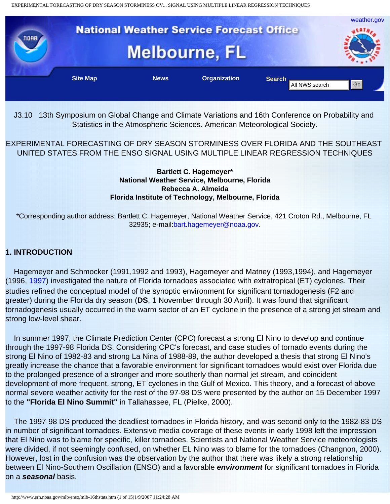

J3.10 13th Symposium on Global Change and Climate Variations and 16th Conference on Probability and Statistics in the Atmospheric Sciences. American Meteorological Society.

EXPERIMENTAL FORECASTING OF DRY SEASON STORMINESS OVER FLORIDA AND THE SOUTHEAST UNITED STATES FROM THE ENSO SIGNAL USING MULTIPLE LINEAR REGRESSION TECHNIQUES

#### **Bartlett C. Hagemeyer\* National Weather Service, Melbourne, Florida Rebecca A. Almeida Florida Institute of Technology, Melbourne, Florida**

\*Corresponding author address: Bartlett C. Hagemeyer, National Weather Service, 421 Croton Rd., Melbourne, FL 32935; e-mail:[bart.hagemeyer@noaa.gov](mailto:bart.hagemeyer@noaa.gov).

# **1. INTRODUCTION**

 Hagemeyer and Schmocker (1991,1992 and 1993), Hagemeyer and Matney (1993,1994), and Hagemeyer (1996, [1997](http://www.srh.noaa.gov/mlb/houtbrk.html)) investigated the nature of Florida tornadoes associated with extratropical (ET) cyclones. Their studies refined the conceptual model of the synoptic environment for significant tornadogenesis (F2 and greater) during the Florida dry season (**DS**, 1 November through 30 April). It was found that significant tornadogenesis usually occurred in the warm sector of an ET cyclone in the presence of a strong jet stream and strong low-level shear.

 In summer 1997, the Climate Prediction Center (CPC) forecast a strong El Nino to develop and continue through the 1997-98 Florida DS. Considering CPC's forecast, and case studies of tornado events during the strong El Nino of 1982-83 and strong La Nina of 1988-89, the author developed a thesis that strong El Nino's greatly increase the chance that a favorable environment for significant tornadoes would exist over Florida due to the prolonged presence of a stronger and more southerly than normal jet stream, and coincident development of more frequent, strong, ET cyclones in the Gulf of Mexico. This theory, and a forecast of above normal severe weather activity for the rest of the 97-98 DS were presented by the author on 15 December 1997 to the **"Florida El Nino Summit"** in Tallahassee, FL (Pielke, 2000). (a) 13.10 13th Symposium on Global Change and Climate Variations and 16th Conference on Probability<br>Strength Emissions in the Amospheric Sciences. American Meteorology (a) SCience 16ths (Amospheric Science)<br>19th Change (St

 The 1997-98 DS produced the deadliest tornadoes in Florida history, and was second only to the 1982-83 DS in number of significant tornadoes. Extensive media coverage of these events in early 1998 left the impression that El Nino was to blame for specific, killer tornadoes. Scientists and National Weather Service meteorologists were divided, if not seemingly confused, on whether EL Nino was to blame for the tornadoes (Changnon, 2000). However, lost in the confusion was the observation by the author that there was likely a strong relationship between El Nino-Southern Oscillation (ENSO) and a favorable *environment* for significant tornadoes in Florida on a *seasonal* basis.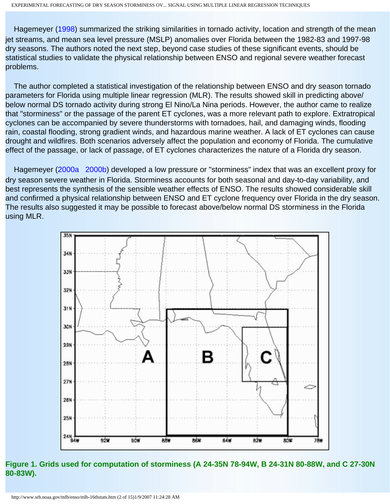Hagemeyer ([1998](http://www.srh.noaa.gov/mlb/sls19paper10-1.html)) summarized the striking similarities in tornado activity, location and strength of the mean jet streams, and mean sea level pressure (MSLP) anomalies over Florida between the 1982-83 and 1997-98 dry seasons. The authors noted the next step, beyond case studies of these significant events, should be statistical studies to validate the physical relationship between ENSO and regional severe weather forecast problems.

 The author completed a statistical investigation of the relationship between ENSO and dry season tornado parameters for Florida using multiple linear regression (MLR). The results showed skill in predicting above/ below normal DS tornado activity during strong El Nino/La Nina periods. However, the author came to realize that "storminess" or the passage of the parent ET cyclones, was a more relevant path to explore. Extratropical cyclones can be accompanied by severe thunderstorms with tornadoes, hail, and damaging winds, flooding rain, coastal flooding, strong gradient winds, and hazardous marine weather. A lack of ET cyclones can cause drought and wildfires. Both scenarios adversely affect the population and economy of Florida. The cumulative effect of the passage, or lack of passage, of ET cyclones characterizes the nature of a Florida dry season.

Hagemeyer ([2000a](http://www.srh.noaa.gov/mlb/12thclimate-bh.htm) [2000b](http://www.srh.noaa.gov/mlb/sls20-13.3.html)) developed a low pressure or "storminess" index that was an excellent proxy for dry season severe weather in Florida. Storminess accounts for both seasonal and day-to-day variability, and best represents the synthesis of the sensible weather effects of ENSO. The results showed considerable skill and confirmed a physical relationship between ENSO and ET cyclone frequency over Florida in the dry season. The results also suggested it may be possible to forecast above/below normal DS storminess in the Florida using MLR.



**Figure 1. Grids used for computation of storminess (A 24-35N 78-94W, B 24-31N 80-88W, and C 27-30N 80-83W).**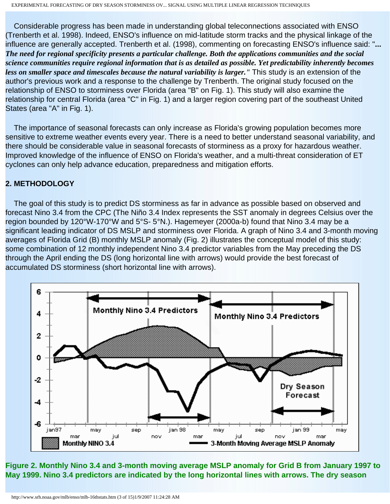Considerable progress has been made in understanding global teleconnections associated with ENSO (Trenberth et al. 1998). Indeed, ENSO's influence on mid-latitude storm tracks and the physical linkage of the influence are generally accepted. Trenberth et al. (1998), commenting on forecasting ENSO's influence said: "**...** *The need for regional specificity presents a particular challenge. Both the applications communities and the social science communities require regional information that is as detailed as possible. Yet predictability inherently becomes less on smaller space and timescales because the natural variability is larger."* This study is an extension of the author's previous work and a response to the challenge by Trenberth. The original study focused on the relationship of ENSO to storminess over Florida (area "B" on Fig. 1). This study will also examine the relationship for central Florida (area "C" in Fig. 1) and a larger region covering part of the southeast United States (area "A" in Fig. 1).

 The importance of seasonal forecasts can only increase as Florida's growing population becomes more sensitive to extreme weather events every year. There is a need to better understand seasonal variability, and there should be considerable value in seasonal forecasts of storminess as a proxy for hazardous weather. Improved knowledge of the influence of ENSO on Florida's weather, and a multi-threat consideration of ET cyclones can only help advance education, preparedness and mitigation efforts.

### **2. METHODOLOGY**

 The goal of this study is to predict DS storminess as far in advance as possible based on observed and forecast Nino 3.4 from the CPC (The Niño 3.4 Index represents the SST anomaly in degrees Celsius over the region bounded by 120°W-170°W and 5°S- 5°N.). Hagemeyer (2000a-b) found that Nino 3.4 may be a significant leading indicator of DS MSLP and storminess over Florida. A graph of Nino 3.4 and 3-month moving averages of Florida Grid (B) monthly MSLP anomaly (Fig. 2) illustrates the conceptual model of this study: some combination of 12 monthly independent Nino 3.4 predictor variables from the May preceding the DS through the April ending the DS (long horizontal line with arrows) would provide the best forecast of accumulated DS storminess (short horizontal line with arrows).



**Figure 2. Monthly Nino 3.4 and 3-month moving average MSLP anomaly for Grid B from January 1997 to May 1999. Nino 3.4 predictors are indicated by the long horizontal lines with arrows. The dry season**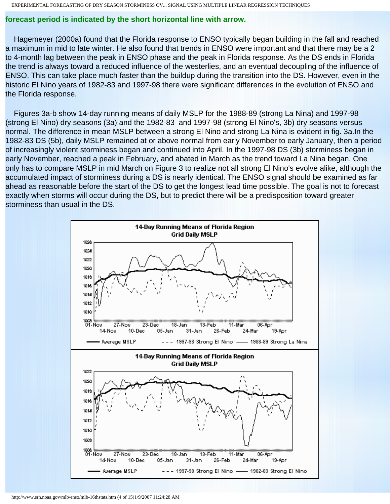### **forecast period is indicated by the short horizontal line with arrow.**

 Hagemeyer (2000a) found that the Florida response to ENSO typically began building in the fall and reached a maximum in mid to late winter. He also found that trends in ENSO were important and that there may be a 2 to 4-month lag between the peak in ENSO phase and the peak in Florida response. As the DS ends in Florida the trend is always toward a reduced influence of the westerlies, and an eventual decoupling of the influence of ENSO. This can take place much faster than the buildup during the transition into the DS. However, even in the historic El Nino years of 1982-83 and 1997-98 there were significant differences in the evolution of ENSO and the Florida response.

 Figures 3a-b show 14-day running means of daily MSLP for the 1988-89 (strong La Nina) and 1997-98 (strong El Nino) dry seasons (3a) and the 1982-83 and 1997-98 (strong El Nino's, 3b) dry seasons versus normal. The difference in mean MSLP between a strong El Nino and strong La Nina is evident in fig. 3a.In the 1982-83 DS (5b), daily MSLP remained at or above normal from early November to early January, then a period of increasingly violent storminess began and continued into April. In the 1997-98 DS (3b) storminess began in early November, reached a peak in February, and abated in March as the trend toward La Nina began. One only has to compare MSLP in mid March on Figure 3 to realize not all strong El Nino's evolve alike, although the accumulated impact of storminess during a DS is nearly identical. The ENSO signal should be examined as far ahead as reasonable before the start of the DS to get the longest lead time possible. The goal is not to forecast exactly when storms will occur during the DS, but to predict there will be a predisposition toward greater storminess than usual in the DS.

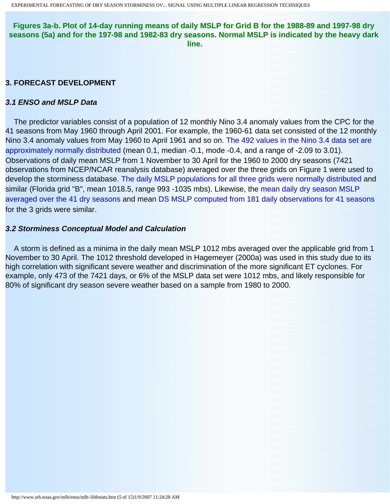**Figures 3a-b. Plot of 14-day running means of daily MSLP for Grid B for the 1988-89 and 1997-98 dry seasons (5a) and for the 197-98 and 1982-83 dry seasons. Normal MSLP is indicated by the heavy dark line.**

## **3. FORECAST DEVELOPMENT**

### *3.1 ENSO and MSLP Data*

 The predictor variables consist of a population of 12 monthly Nino 3.4 anomaly values from the CPC for the 41 seasons from May 1960 through April 2001. For example, the 1960-61 data set consisted of the 12 monthly Nino 3.4 anomaly values from May 1960 to April 1961 and so on. [The 492 values in the Nino 3.4 data set are](http://www.srh.noaa.gov/mlb/enso/images/16th-sup8.gif)  [approximately normally distributed](http://www.srh.noaa.gov/mlb/enso/images/16th-sup8.gif) (mean 0.1, median -0.1, mode -0.4, and a range of -2.09 to 3.01). Observations of daily mean MSLP from 1 November to 30 April for the 1960 to 2000 dry seasons (7421 observations from NCEP/NCAR reanalysis database) averaged over the three grids on Figure 1 were used to develop the storminess database. [The daily MSLP populations for all three grids were normally distributed](http://www.srh.noaa.gov/mlb/enso/images/16th-sup1.gif) and similar (Florida grid "B", mean 1018.5, range 993 -1035 mbs). Likewise, the mean daily dry season MSLP [averaged over the 41 dry seasons](http://www.srh.noaa.gov/mlb/enso/images/16th-sup4.gif) and mean [DS MSLP computed from 181 daily observations for 41 seasons](http://www.srh.noaa.gov/mlb/enso/images/16th-sup3.gif) for the 3 grids were similar.

#### *3.2 Storminess Conceptual Model and Calculation*

 A storm is defined as a minima in the daily mean MSLP 1012 mbs averaged over the applicable grid from 1 November to 30 April. The 1012 threshold developed in Hagemeyer (2000a) was used in this study due to its high correlation with significant severe weather and discrimination of the more significant ET cyclones. For example, only 473 of the 7421 days, or 6% of the MSLP data set were 1012 mbs, and likely responsible for 80% of significant dry season severe weather based on a sample from 1980 to 2000.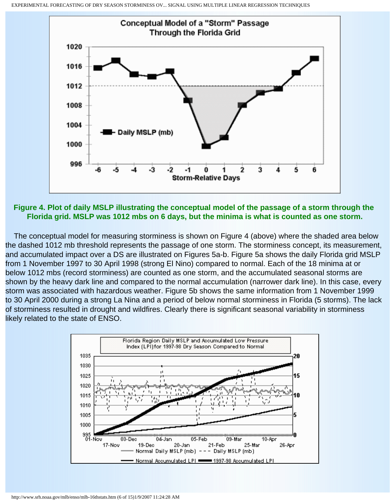

**Figure 4. Plot of daily MSLP illustrating the conceptual model of the passage of a storm through the Florida grid. MSLP was 1012 mbs on 6 days, but the minima is what is counted as one storm.**

 The conceptual model for measuring storminess is shown on Figure 4 (above) where the shaded area below the dashed 1012 mb threshold represents the passage of one storm. The storminess concept, its measurement, and accumulated impact over a DS are illustrated on Figures 5a-b. Figure 5a shows the daily Florida grid MSLP from 1 November 1997 to 30 April 1998 (strong El Nino) compared to normal. Each of the 18 minima at or below 1012 mbs (record storminess) are counted as one storm, and the accumulated seasonal storms are shown by the heavy dark line and compared to the normal accumulation (narrower dark line). In this case, every storm was associated with hazardous weather. Figure 5b shows the same information from 1 November 1999 to 30 April 2000 during a strong La Nina and a period of below normal storminess in Florida (5 storms). The lack of storminess resulted in drought and wildfires. Clearly there is significant seasonal variability in storminess likely related to the state of ENSO.

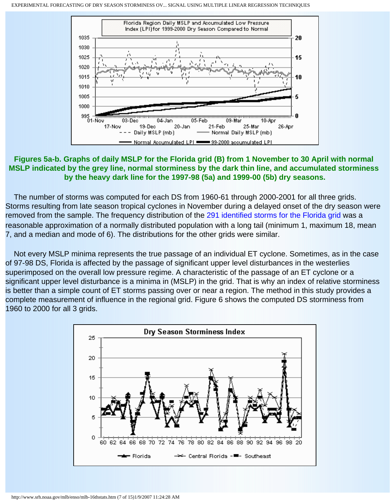

# **Figures 5a-b. Graphs of daily MSLP for the Florida grid (B) from 1 November to 30 April with normal MSLP indicated by the grey line, normal storminess by the dark thin line, and accumulated storminess by the heavy dark line for the 1997-98 (5a) and 1999-00 (5b) dry seasons.**

 The number of storms was computed for each DS from 1960-61 through 2000-2001 for all three grids. Storms resulting from late season tropical cyclones in November during a delayed onset of the dry season were removed from the sample. The frequency distribution of the [291 identified storms for the Florida grid](http://www.srh.noaa.gov/mlb/enso/images/16th-sup7.gif) was a reasonable approximation of a normally distributed population with a long tail (minimum 1, maximum 18, mean 7, and a median and mode of 6). The distributions for the other grids were similar.

 Not every MSLP minima represents the true passage of an individual ET cyclone. Sometimes, as in the case of 97-98 DS, Florida is affected by the passage of significant upper level disturbances in the westerlies superimposed on the overall low pressure regime. A characteristic of the passage of an ET cyclone or a significant upper level disturbance is a minima in (MSLP) in the grid. That is why an index of relative storminess is better than a simple count of ET storms passing over or near a region. The method in this study provides a complete measurement of influence in the regional grid. Figure 6 shows the computed DS storminess from 1960 to 2000 for all 3 grids.

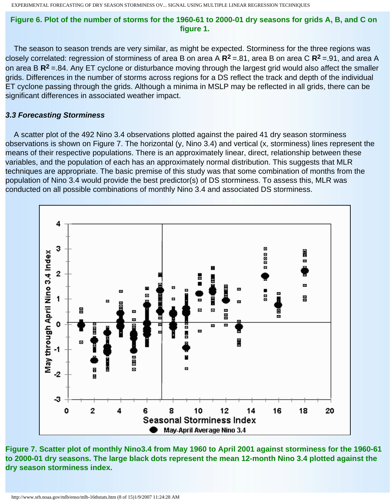### **Figure 6. Plot of the number of storms for the 1960-61 to 2000-01 dry seasons for grids A, B, and C on figure 1.**

 The season to season trends are very similar, as might be expected. Storminess for the three regions was closely correlated: regression of storminess of area B on area A **R2** =.81, area B on area C **R2** =.91, and area A on area B **R2** =.84. Any ET cyclone or disturbance moving through the largest grid would also affect the smaller grids. Differences in the number of storms across regions for a DS reflect the track and depth of the individual ET cyclone passing through the grids. Although a minima in MSLP may be reflected in all grids, there can be significant differences in associated weather impact.

#### *3.3 Forecasting Storminess*

 A scatter plot of the 492 Nino 3.4 observations plotted against the paired 41 dry season storminess observations is shown on Figure 7. The horizontal (y, Nino 3.4) and vertical (x, storminess) lines represent the means of their respective populations. There is an approximately linear, direct, relationship between these variables, and the population of each has an approximately normal distribution. This suggests that MLR techniques are appropriate. The basic premise of this study was that some combination of months from the population of Nino 3.4 would provide the best predictor(s) of DS storminess. To assess this, MLR was conducted on all possible combinations of monthly Nino 3.4 and associated DS storminess.



**Figure 7. Scatter plot of monthly Nino3.4 from May 1960 to April 2001 against storminess for the 1960-61 to 2000-01 dry seasons. The large black dots represent the mean 12-month Nino 3.4 plotted against the dry season storminess index.**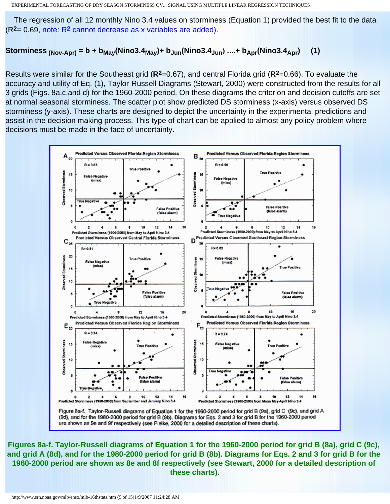The regression of all 12 monthly Nino 3.4 values on storminess (Equation 1) provided the best fit to the data (R**2**= 0.69, note: R**2** [cannot decrease as x variables are added\).](http://www.srh.noaa.gov/mlb/enso/images/16th-sup2.gif)

# Storminess  $_{(Nov-Apr)} = b + b_{May}(Nino3.4_{May}) + b_{Jun}(Nino3.4_{Jun})$  ....+  $b_{Apr}(Nino3.4_{Apr})$  (1)

Results were similar for the Southeast grid (**R2**=0.67), and central Florida grid (**R2**=0.66). To evaluate the accuracy and utility of Eq. (1), Taylor-Russell Diagrams (Stewart, 2000) were constructed from the results for all 3 grids (Figs. 8a,c,and d) for the 1960-2000 period. On these diagrams the criterion and decision cutoffs are set at normal seasonal storminess. The scatter plot show predicted DS storminess (x-axis) versus observed DS storminess (y-axis). These charts are designed to depict the uncertainty in the experimental predictions and assist in the decision making process. This type of chart can be applied to almost any policy problem where decisions must be made in the face of uncertainty.



**Figures 8a-f. Taylor-Russell diagrams of Equation 1 for the 1960-2000 period for grid B (8a), grid C (9c), and grid A (8d), and for the 1980-2000 period for grid B (8b). Diagrams for Eqs. 2 and 3 for grid B for the 1960-2000 period are shown as 8e and 8f respectively (see Stewart, 2000 for a detailed description of these charts).**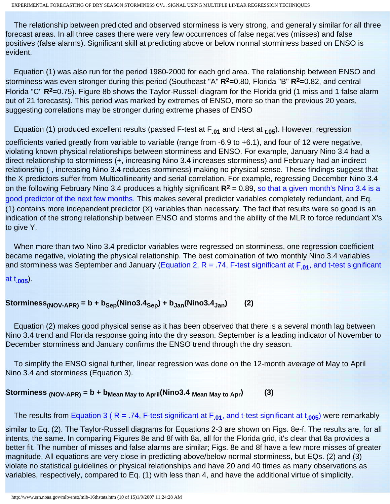The relationship between predicted and observed storminess is very strong, and generally similar for all three forecast areas. In all three cases there were very few occurrences of false negatives (misses) and false positives (false alarms). Significant skill at predicting above or below normal storminess based on ENSO is evident.

 Equation (1) was also run for the period 1980-2000 for each grid area. The relationship between ENSO and storminess was even stronger during this period (Southeast "A" **R2**=0.80, Florida "B" **R2**=0.82, and central Florida "C" **R2**=0.75). Figure 8b shows the Taylor-Russell diagram for the Florida grid (1 miss and 1 false alarm out of 21 forecasts). This period was marked by extremes of ENSO, more so than the previous 20 years, suggesting correlations may be stronger during extreme phases of ENSO

Equation (1) produced excellent results (passed F-test at F**.01** and t-test at **t.05**). However, regression

coefficients varied greatly from variable to variable (range from -6.9 to +6.1), and four of 12 were negative, violating known physical relationships between storminess and ENSO. For example, January Nino 3.4 had a direct relationship to storminess (+, increasing Nino 3.4 increases storminess) and February had an indirect relationship (-, increasing Nino 3.4 reduces storminess) making no physical sense. These findings suggest that the X predictors suffer from Multicollinearity and serial correlation. For example, regressing December Nino 3.4 on the following February Nino 3.4 produces a highly significant **R2** = 0.89, [so that a given month's Nino 3.4 is a](http://www.srh.noaa.gov/mlb/enso/images/16th-sup9.gif)  [good predictor of the next few months.](http://www.srh.noaa.gov/mlb/enso/images/16th-sup9.gif) This makes several predictor variables completely redundant, and Eq. (1) contains more independent predictor (X) variables than necessary. The fact that results were so good is an indication of the strong relationship between ENSO and storms and the ability of the MLR to force redundant X's to give Y.

 When more than two Nino 3.4 predictor variables were regressed on storminess, one regression coefficient became negative, violating the physical relationship. The best combination of two monthly Nino 3.4 variables and storminess was September and January [\(Equation 2, R = .74, F-test significant at F](http://www.srh.noaa.gov/mlb/enso/images/16th-sup10.gif)**.01**, and t-test significant

[at t](http://www.srh.noaa.gov/mlb/enso/images/16th-sup10.gif)**.005**).

 $Storminess<sub>(NOV-APR)</sub> = b + b<sub>Sep</sub>(Nino3.4<sub>Sep</sub>) + b<sub>Jan</sub>(Nino3.4<sub>Jan</sub>)$  (2)

 Equation (2) makes good physical sense as it has been observed that there is a several month lag between Nino 3.4 trend and Florida response going into the dry season. September is a leading indicator of November to December storminess and January confirms the ENSO trend through the dry season.

 To simplify the ENSO signal further, linear regression was done on the 12-month *average* of May to April Nino 3.4 and storminess (Equation 3).

Storminess  $_{(NOV-APR)} = b + b_{Mean\ May\ to\ April}(Nino3.4 \text{ Mean\ May\ to\ Apr})$  (3)

The results from [Equation 3 \( R = .74, F-test significant at F](http://www.srh.noaa.gov/mlb/enso/images/16th-sup12.gif)**.01**, and t-test significant at t**.005**) were remarkably

similar to Eq. (2). The Taylor-Russell diagrams for Equations 2-3 are shown on Figs. 8e-f. The results are, for all intents, the same. In comparing Figures 8e and 8f with 8a, all for the Florida grid, it's clear that 8a provides a better fit. The number of misses and false alarms are similar; Figs. 8e and 8f have a few more misses of greater magnitude. All equations are very close in predicting above/below normal storminess, but EQs. (2) and (3) violate no statistical guidelines or physical relationships and have 20 and 40 times as many observations as variables, respectively, compared to Eq. (1) with less than 4, and have the additional virtue of simplicity.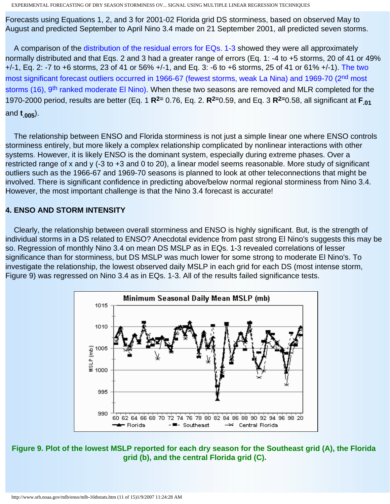Forecasts using Equations 1, 2, and 3 for 2001-02 Florida grid DS storminess, based on observed May to August and predicted September to April Nino 3.4 made on 21 September 2001, all predicted seven storms.

A comparison of the [distribution of the residual errors for EQs. 1-3](http://www.srh.noaa.gov/mlb/enso/images/16th-sup13.gif) showed they were all approximately normally distributed and that Eqs. 2 and 3 had a greater range of errors (Eq. 1: -4 to +5 storms, 20 of 41 or 49% +/-1, Eq. 2: -7 to +6 storms, 23 of 41 or 56% +/-1, and Eq. 3: -6 to +6 storms, 25 of 41 or 61% +/-1). [The two](http://www.srh.noaa.gov/mlb/enso/images/16th-sup11.gif)  [most significant forecast outliers occurred in 1966-67 \(fewest storms, weak La Nina\) and 1969-70 \(2](http://www.srh.noaa.gov/mlb/enso/images/16th-sup11.gif)<sup>nd</sup> most storms (16), 9<sup>th</sup> ranked moderate El Nino). When these two seasons are removed and MLR completed for the 1970-2000 period, results are better (Eq. 1 **R2=** 0.76, Eq. 2. **R2=**0.59, and Eq. 3 **R2=**0.58, all significant at **F.01** and **t.005**).

 The relationship between ENSO and Florida storminess is not just a simple linear one where ENSO controls storminess entirely, but more likely a complex relationship complicated by nonlinear interactions with other systems. However, it is likely ENSO is the dominant system, especially during extreme phases. Over a restricted range of x and y (-3 to +3 and 0 to 20), a linear model seems reasonable. More study of significant outliers such as the 1966-67 and 1969-70 seasons is planned to look at other teleconnections that might be involved. There is significant confidence in predicting above/below normal regional storminess from Nino 3.4. However, the most important challenge is that the Nino 3.4 forecast is accurate!

# **4. ENSO AND STORM INTENSITY**

 Clearly, the relationship between overall storminess and ENSO is highly significant. But, is the strength of individual storms in a DS related to ENSO? Anecdotal evidence from past strong El Nino's suggests this may be so. Regression of monthly Nino 3.4 on mean DS MSLP as in EQs. 1-3 revealed correlations of lesser significance than for storminess, but DS MSLP was much lower for some strong to moderate El Nino's. To investigate the relationship, the lowest observed daily MSLP in each grid for each DS (most intense storm, Figure 9) was regressed on Nino 3.4 as in EQs. 1-3. All of the results failed significance tests.



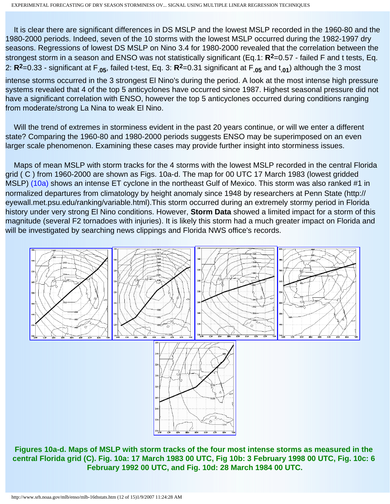It is clear there are significant differences in DS MSLP and the lowest MSLP recorded in the 1960-80 and the 1980-2000 periods. Indeed, seven of the 10 storms with the lowest MSLP occurred during the 1982-1997 dry seasons. Regressions of lowest DS MSLP on Nino 3.4 for 1980-2000 revealed that the correlation between the strongest storm in a season and ENSO was not statistically significant (Eq.1: **R2**=0.57 - failed F and t tests, Eq. 2: **R2**=0.33 - significant at F**.05**, failed t-test, Eq. 3: **R2**=0.31 significant at F**.05** and t**.01**) although the 3 most

intense storms occurred in the 3 strongest El Nino's during the period. A look at the most intense high pressure systems revealed that 4 of the top 5 anticyclones have occurred since 1987. Highest seasonal pressure did not have a significant correlation with ENSO, however the top 5 anticyclones occurred during conditions ranging from moderate/strong La Nina to weak El Nino.

Will the trend of extremes in storminess evident in the past 20 years continue, or will we enter a different state? Comparing the 1960-80 and 1980-2000 periods suggests ENSO may be superimposed on an even larger scale phenomenon. Examining these cases may provide further insight into storminess issues.

 Maps of mean MSLP with storm tracks for the 4 storms with the lowest MSLP recorded in the central Florida grid ( C ) from 1960-2000 are shown as Figs. 10a-d. The map for 00 UTC 17 March 1983 (lowest gridded MSLP) [\(10a\)](http://www.srh.noaa.gov/mlb/enso/images/16th-10a.gif) shows an intense ET cyclone in the northeast Gulf of Mexico. This storm was also ranked #1 in normalized departures from climatology by height anomaly since 1948 by researchers at Penn State (http:// eyewall.met.psu.edu/ranking/variable.html).This storm occurred during an extremely stormy period in Florida history under very strong El Nino conditions. However, **Storm Data** showed a limited impact for a storm of this magnitude (several F2 tornadoes with injuries). It is likely this storm had a much greater impact on Florida and will be investigated by searching news clippings and Florida NWS office's records.



**Figures 10a-d. Maps of MSLP with storm tracks of the four most intense storms as measured in the central Florida grid (C). Fig. 10a: 17 March 1983 00 UTC, Fig 10b: 3 February 1998 00 UTC, Fig. 10c: 6 February 1992 00 UTC, and Fig. 10d: 28 March 1984 00 UTC.**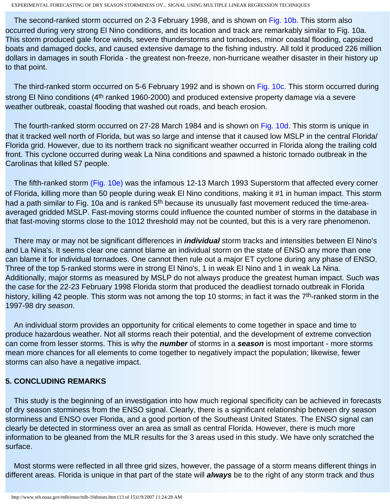The second-ranked storm occurred on 2-3 February 1998, and is shown on [Fig. 10b](http://www.srh.noaa.gov/mlb/enso/images/16th-10b.gif). This storm also occurred during very strong El Nino conditions, and its location and track are remarkably similar to Fig. 10a. This storm produced gale force winds, severe thunderstorms and tornadoes, minor coastal flooding, capsized boats and damaged docks, and caused extensive damage to the fishing industry. All told it produced 226 million dollars in damages in south Florida - the greatest non-freeze, non-hurricane weather disaster in their history up to that point.

The third-ranked storm occurred on 5-6 February 1992 and is shown on [Fig. 10c](http://www.srh.noaa.gov/mlb/enso/images/16th-10c.gif). This storm occurred during strong El Nino conditions (4<sup>th</sup> ranked 1960-2000) and produced extensive property damage via a severe weather outbreak, coastal flooding that washed out roads, and beach erosion.

 The fourth-ranked storm occurred on 27-28 March 1984 and is shown on [Fig. 10d.](http://www.srh.noaa.gov/mlb/enso/images/16th-10d.gif) This storm is unique in that it tracked well north of Florida, but was so large and intense that it caused low MSLP in the central Florida/ Florida grid. However, due to its northern track no significant weather occurred in Florida along the trailing cold front. This cyclone occurred during weak La Nina conditions and spawned a historic tornado outbreak in the Carolinas that killed 57 people.

 The fifth-ranked storm [\(Fig. 10e\)](http://www.srh.noaa.gov/mlb/enso/images/16th-10e.gif) was the infamous 12-13 March 1993 Superstorm that affected every corner of Florida, killing more than 50 people during weak El Nino conditions, making it #1 in human impact. This storm had a path similar to Fig. 10a and is ranked 5<sup>th</sup> because its unusually fast movement reduced the time-areaaveraged gridded MSLP. Fast-moving storms could influence the counted number of storms in the database in that fast-moving storms close to the 1012 threshold may not be counted, but this is a very rare phenomenon.

 There may or may not be significant differences in *individual* storm tracks and intensities between El Nino's and La Nina's. It seems clear one cannot blame an individual storm on the state of ENSO any more than one can blame it for individual tornadoes. One cannot then rule out a major ET cyclone during any phase of ENSO. Three of the top 5-ranked storms were in strong El Nino's, 1 in weak El Nino and 1 in weak La Nina. Additionally, major storms as measured by MSLP do not always produce the greatest human impact. Such was the case for the 22-23 February 1998 Florida storm that produced the deadliest tornado outbreak in Florida history, killing 42 people. This storm was not among the top 10 storms; in fact it was the 7<sup>th</sup>-ranked storm in the 1997-98 dry *season*.

 An individual storm provides an opportunity for critical elements to come together in space and time to produce hazardous weather. Not all storms reach their potential, and the development of extreme convection can come from lesser storms. This is why the *number* of storms in a *season* is most important - more storms mean more chances for all elements to come together to negatively impact the population; likewise, fewer storms can also have a negative impact.

## **5. CONCLUDING REMARKS**

 This study is the beginning of an investigation into how much regional specificity can be achieved in forecasts of dry season storminess from the ENSO signal. Clearly, there is a significant relationship between dry season storminess and ENSO over Florida, and a good portion of the Southeast United States. The ENSO signal can clearly be detected in storminess over an area as small as central Florida. However, there is much more information to be gleaned from the MLR results for the 3 areas used in this study. We have only scratched the surface.

 Most storms were reflected in all three grid sizes, however, the passage of a storm means different things in different areas. Florida is unique in that part of the state will *always* be to the right of any storm track and thus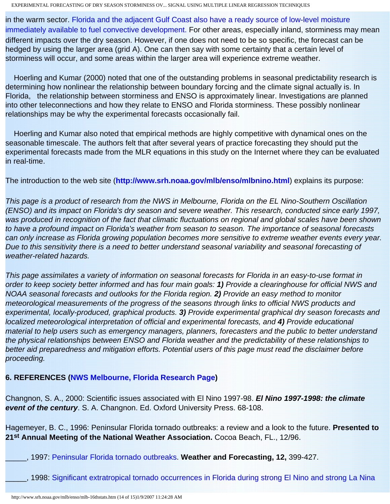in the warm sector. [Florida and the adjacent Gulf Coast also have a ready source of low-level moisture](http://www.srh.noaa.gov/mlb/enso/images/16th-sup6.gif)  [immediately available to fuel convective development.](http://www.srh.noaa.gov/mlb/enso/images/16th-sup6.gif) For other areas, especially inland, storminess may mean different impacts over the dry season. However, if one does not need to be so specific, the forecast can be hedged by using the larger area (grid A). One can then say with some certainty that a certain level of storminess will occur, and some areas within the larger area will experience extreme weather.

 Hoerling and Kumar (2000) noted that one of the outstanding problems in seasonal predictability research is determining how nonlinear the relationship between boundary forcing and the climate signal actually is. In Florida, the relationship between storminess and ENSO is approximately linear. Investigations are planned into other teleconnections and how they relate to ENSO and Florida storminess. These possibly nonlinear relationships may be why the experimental forecasts occasionally fail.

 Hoerling and Kumar also noted that empirical methods are highly competitive with dynamical ones on the seasonable timescale. The authors felt that after several years of practice forecasting they should put the experimental forecasts made from the MLR equations in this study on the Internet where they can be evaluated in real-time.

The introduction to the web site (**<http://www.srh.noaa.gov/mlb/enso/mlbnino.html>**) explains its purpose:

*This page is a product of research from the NWS in Melbourne, Florida on the EL Nino-Southern Oscillation (ENSO) and its impact on Florida's dry season and severe weather. This research, conducted since early 1997, was produced in recognition of the fact that climatic fluctuations on regional and global scales have been shown to have a profound impact on Florida's weather from season to season. The importance of seasonal forecasts can only increase as Florida growing population becomes more sensitive to extreme weather events every year. Due to this sensitivity there is a need to better understand seasonal variability and seasonal forecasting of weather-related hazards.* 

*This page assimilates a variety of information on seasonal forecasts for Florida in an easy-to-use format in order to keep society better informed and has four main goals: 1) Provide a clearinghouse for official NWS and NOAA seasonal forecasts and outlooks for the Florida region. 2) Provide an easy method to monitor meteorological measurements of the progress of the seasons through links to official NWS products and experimental, locally-produced, graphical products. 3) Provide experimental graphical dry season forecasts and localized meteorological interpretation of official and experimental forecasts, and 4) Provide educational material to help users such as emergency managers, planners, forecasters and the public to better understand the physical relationships between ENSO and Florida weather and the predictability of these relationships to better aid preparedness and mitigation efforts. Potential users of this page must read the disclaimer before proceeding.* 

## **6. REFERENCES ([NWS Melbourne, Florida Research Page\)](http://www.srh.noaa.gov/mlb/research.html)**

Changnon, S. A., 2000: Scientific issues associated with El Nino 1997-98. *El Nino 1997-1998: the climate event of the century*. S. A. Changnon. Ed. Oxford University Press. 68-108.

Hagemeyer, B. C., 1996: Peninsular Florida tornado outbreaks: a review and a look to the future. **Presented to 21st Annual Meeting of the National Weather Association.** Cocoa Beach, FL., 12/96.

\_\_\_\_\_, 1997: [Peninsular Florida tornado outbreaks.](http://www.srh.noaa.gov/mlb/houtbrk.html) **Weather and Forecasting, 12,** 399-427.

\_\_\_\_\_, 1998: [Significant extratropical tornado occurrences in Florida during strong El Nino and strong La Nina](http://www.srh.noaa.gov/mlb/sls19paper10-1.html)